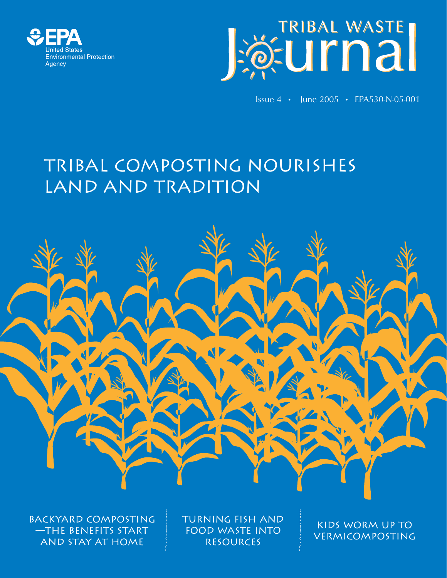



Issue 4 • June 2005 • EPA530-N-05-001

# Tribal Composting Nourishes land and tradition



Backyard composting —the benefits start and stay at home

Turning fish and food waste into resources

Kids worm up to **VERMICOMPOSTING**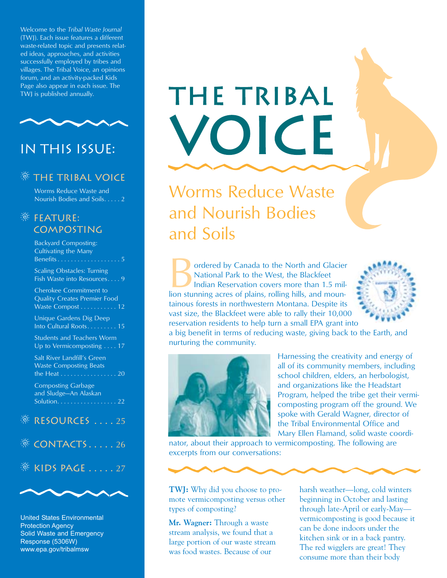Welcome to the *Tribal Waste Journal*  (TWJ). Each issue features a different waste-related topic and presents related ideas, approaches, and activities successfully employed by tribes and villages. The Tribal Voice, an opinions forum, and an activity-packed Kids Page also appear in each issue. The<br>TWJ is published annually.



## In this issue:

#### **THE TRIBAL VOICE**

Worms Reduce Waste and Nourish Bodies and Soils. . . . . 2

#### **<b>EXECUTE:** composting

Backyard Composting: Cultivating the Many Benefits . . . . . . . . . . . .

Scaling Obstacles: Turning Fish Waste into Resources. . . . 9

Cherokee Commitment to Quality Creates Premier Food Waste Compost . . . . . . . . . . . 12

Unique Gardens Dig Deep Into Cultural Roots. . . . . . . . . 15

Students and Teachers Worm Up to Vermicomposting . . . . 17

Salt River Landfill's Green Waste Composting Beats the Heat . . . . . . . . . . . . . . . . . 20

Composting Garbage and Sludge—An Alaskan Solution. . . . . . . . . . . . . . . . . . 22

#### RESOURCES . . . . 25

 $\mathcal{R}$  CONTACTS . . . . . 26

### $\frac{1}{20}$  KIDS PAGE ..... 27



United States Environmental Protection Agency Solid Waste and Emergency Response (5306W) www.epa.gov/tribalmsw

# Page also appear in each issue. The TRIBAL VOICE

Worms Reduce Waste and Nourish Bodies and Soils

**Bordered by Canada to the North and Glacier** National Park to the West, the Blackfeet Indian Reservation covers more than 1.5 million stunning acres of plains, rolling hills, and moun-National Park to the West, the Blackfeet Indian Reservation covers more than 1.5 miltainous forests in northwestern Montana. Despite its vast size, the Blackfeet were able to rally their 10,000 reservation residents to help turn a small EPA grant into



a big benefit in terms of reducing waste, giving back to the Earth, and nurturing the community.



Harnessing the creativity and energy of all of its community members, including school children, elders, an herbologist, and organizations like the Headstart Program, helped the tribe get their vermicomposting program off the ground. We spoke with Gerald Wagner, director of the Tribal Environmental Office and Mary Ellen Flamand, solid waste coordi-

nator, about their approach to vermicomposting. The following are excerpts from our conversations:

**TWJ:** Why did you choose to promote vermicomposting versus other types of composting?

**Mr. Wagner:** Through a waste stream analysis, we found that a large portion of our waste stream was food wastes. Because of our

harsh weather—long, cold winters beginning in October and lasting through late-April or early-May vermicomposting is good because it can be done indoors under the kitchen sink or in a back pantry. The red wigglers are great! They consume more than their body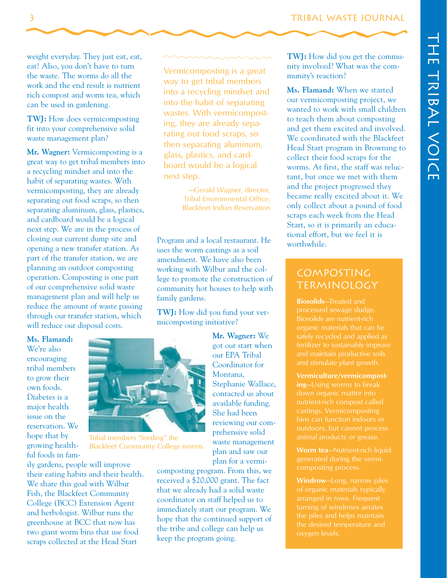weight everyday. They just eat, eat, eat! Also, you don't have to turn the waste. The worms do all the work and the end result is nutrient rich compost and worm tea, which can be used in gardening.

**TWJ:** How does vermicomposting fit into your comprehensive solid waste management plan?

**Mr. Wagner:** Vermicomposting is a great way to get tribal members into a recycling mindset and into the habit of separating wastes. With vermicomposting, they are already separating out food scraps, so then separating aluminum, glass, plastics, and cardboard would be a logical next step. We are in the process of closing our current dump site and opening a new transfer station. As part of the transfer station, we are planning an outdoor composting operation. Composting is one part of our comprehensive solid waste management plan and will help us reduce the amount of waste passing through our transfer station, which will reduce our disposal costs.

**Ms. Flamand:**  We're also encouraging tribal members to grow their own foods. Diabetes is a major health issue on the reservation. We hope that by Tribal members "feeding" the growing health-<br>Blackfeet Community College ful foods in fam-

ily gardens, people will improve their eating habits and their health. We share this goal with Wilbur Fish, the Blackfeet Community College (BCC) Extension Agent and herbologist. Wilbur runs the greenhouse at BCC that now has two giant worm bins that use food scraps collected at the Head Start

Vermicomposting is a great way to get tribal members into a recycling mindset and into the habit of separating wastes. With vermicomposting, they are already separating out food scraps, so then separating aluminum, glass, plastics, and cardboard would be a logical next step.

> —Gerald Wagner, director, Tribal Environmental Office, Blackfeet Indian Reservation

Program and a local restaurant. He uses the worm castings as a soil amendment. We have also been working with Wilbur and the college to promote the construction of community hot houses to help with family gardens.

**TWJ:** How did you fund your vermicomposting initiative?

> **Mr. Wagner:** We got our start when our EPA Tribal Coordinator for Montana, Stephanie Wallace, contacted us about available funding. She had been reviewing our comprehensive solid waste management plan and saw our plan for a vermi-

composting program. From this, we received a \$20,000 grant. The fact that we already had a solid waste coordinator on staff helped us to immediately start our program. We hope that the continued support of the tribe and college can help us keep the program going.

**TWJ:** How did you get the community involved? What was the community's reaction?

**Ms. Flamand:** When we started our vermicomposting project, we wanted to work with small children to teach them about composting and get them excited and involved. We coordinated with the Blackfeet Head Start program in Browning to collect their food scraps for the worms. At first, the staff was reluctant, but once we met with them and the project progressed they became really excited about it. We only collect about a pound of food scraps each week from the Head Start, so it is primarily an educational effort, but we feel it is worthwhile.

#### Composting Terminology

**Biosolids** —Treated and processed sewage sludge. Biosolids are nutrient-rich organic materials that can be safely recycled and applied as fertilizer to sustainably improve and maintain productive soils and stimulate plant growth.

**ing** —Using worms to break bins can function indoors or **Vermiculture/vermicompost** nutrient-rich compost called castings. Vermicomposting animal products or grease.

**Worm tea**—Nutrient-rich liquid composting process.

**Windrow**—Long, narrow piles of organic materials typically turning of windrows aerates the piles and helps maintain the desired temperature and oxygen levels.



Blackfeet Community College worms.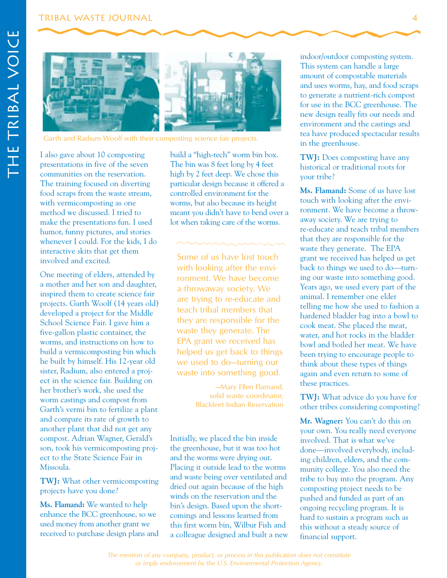

Garth and Radium Woolf with their composting science fair projects.

I also gave about 10 composting presentations in five of the seven communities on the reservation. The training focused on diverting food scraps from the waste stream, with vermicomposting as one method we discussed. I tried to make the presentations fun. I used humor, funny pictures, and stories whenever I could. For the kids, I do interactive skits that get them involved and excited.

One meeting of elders, attended by a mother and her son and daughter, inspired them to create science fair projects. Garth Woolf (14 years old) developed a project for the Middle School Science Fair. I gave him a five-gallon plastic container, the worms, and instructions on how to build a vermicomposting bin which he built by himself. His 12-year old sister, Radium, also entered a project in the science fair. Building on her brother's work, she used the worm castings and compost from Garth's vermi bin to fertilize a plant and compare its rate of growth to another plant that did not get any compost. Adrian Wagner, Gerald's son, took his vermicomposting project to the State Science Fair in Missoula.

**TWJ:** What other vermicomposting projects have you done?

**Ms. Flamand:** We wanted to help enhance the BCC greenhouse, so we used money from another grant we received to purchase design plans and build a "high-tech" worm bin box. The bin was 8 feet long by 4 feet high by 2 feet deep. We chose this particular design because it offered a controlled environment for the worms, but also because its height meant you didn't have to bend over a lot when taking care of the worms.

Some of us have lost touch with looking after the environment. We have become a throwaway society. We are trying to re-educate and teach tribal members that they are responsible for the waste they generate. The EPA grant we received has helped us get back to things we used to do—turning our waste into something good.

> —Mary Ellen Flamand, solid waste coordinator, Blackfeet Indian Reservation

Initially, we placed the bin inside the greenhouse, but it was too hot and the worms were drying out. Placing it outside lead to the worms and waste being over ventilated and dried out again because of the high winds on the reservation and the bin's design. Based upon the shortcomings and lessons learned from this first worm bin, Wilbur Fish and a colleague designed and built a new indoor/outdoor composting system. This system can handle a large amount of compostable materials and uses worms, hay, and food scraps to generate a nutrient-rich compost for use in the BCC greenhouse. The new design really fits our needs and environment and the castings and tea have produced spectacular results in the greenhouse.

**TWJ:** Does composting have any historical or traditional roots for your tribe?

**Ms. Flamand:** Some of us have lost touch with looking after the environment. We have become a throwaway society. We are trying to re-educate and teach tribal members that they are responsible for the waste they generate. The EPA grant we received has helped us get back to things we used to do—turning our waste into something good. Years ago, we used every part of the animal. I remember one elder telling me how she used to fashion a hardened bladder bag into a bowl to cook meat. She placed the meat, water, and hot rocks in the bladder bowl and boiled her meat. We have been trying to encourage people to think about these types of things again and even return to some of these practices.

**TWJ:** What advice do you have for other tribes considering composting?

**Mr. Wagner:** You can't do this on your own. You really need everyone involved. That is what we've done—involved everybody, including children, elders, and the community college. You also need the tribe to buy into the program. Any composting project needs to be pushed and funded as part of an ongoing recycling program. It is hard to sustain a program such as this without a steady source of financial support.

*The mention of any company, product, or process in this publication does not constitute or imply endorsement by the U.S. Environmental Protection Agency.*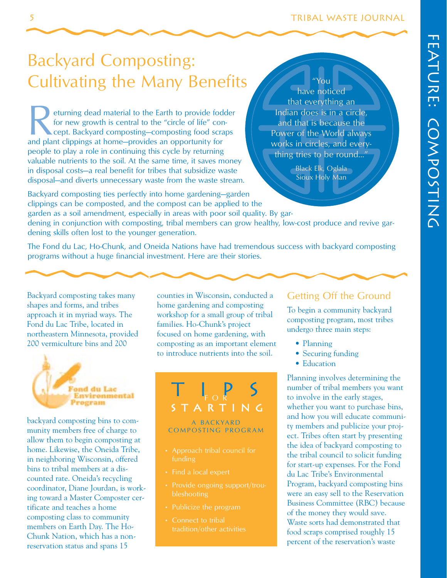# Cultivating the Many Benefits Backyard Composting:

Ferning dead material to the Earth to provide fodder for new growth is central to the "circle of life" concept. Backyard composting—composting food scraps and plant clippings at home—provides an opportunity for for new growth is central to the "circle of life" concept. Backyard composting—composting food scraps people to play a role in continuing this cycle by returning valuable nutrients to the soil. At the same time, it saves money in disposal costs—a real benefit for tribes that subsidize waste disposal—and diverts unnecessary waste from the waste stream.

"You have noticed that everything an Indian does is in a circle, and that is because the Power of the World always works in circles, and everything tries to be round..."

> Black Elk, Oglala Sioux Holy Man

Backyard composting ties perfectly into home gardening—garden clippings can be composted, and the compost can be applied to the garden as a soil amendment, especially in areas with poor soil quality. By gardening in conjunction with composting, tribal members can grow healthy, low-cost produce and revive gardening skills often lost to the younger generation.

The Fond du Lac, Ho-Chunk, and Oneida Nations have had tremendous success with backyard composting programs without a huge financial investment. Here are their stories.

northeastern Minnesota, provided focused on home gardening, with



Neckyard composting bins to composting the scheen of the special of the servation state of composition of the servation state of composition of the servation state of the servation state of media and the servation state. T

Backyard composting takes many counties in Wisconsin, conducted a Getting Off the Ground shapes and forms, and tribes home gardening and composting home gardening and composting approach it in myriad ways. The workshop for a small group of tribal To begin a community backyard Fond du Lac Tribe, located in families. Ho-Chunk's project composting program, most tribes composting program, most tribes 200 vermiculture bins and 200 composting as an important element • Planning to introduce nutrients into the soil. • Securing funding



#### A BACKYARD COMPOSTING PROGRAM

- Approach tribal council for
- Find a local expert
- 
- Publicize the program
- Connect to tribal tradition/other activities

- 
- 
- Education

Planning involves determining the number of tribal members you want to involve in the early stages, whether you want to purchase bins,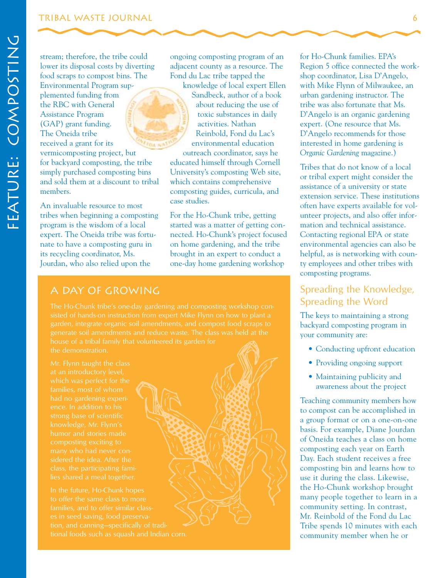#### Tribal Waste Journal

stream; therefore, the tribe could ongoing composting program of an lower its disposal costs by diverting adjacent county as a resource. The food scraps to compost bins. The Fond du Lac tribe tapped the Environmental Program sup- knowledge of local expert Ellen plemented funding from Sandbeck, author of a book the RBC with General  $\sqrt{a}$  about reducing the use of Assistance Program **the Community of the Community** toxic substances in daily (GAP) grant funding. The Oneida tribe received a grant for its vermicomposting project, but for backyard composting, the tribe simply purchased composting bins and sold them at a discount to tribal members.

An invaluable resource to most tribes when beginning a composting program is the wisdom of a local expert. The Oneida tribe was fortunate to have a composting guru in its recycling coordinator, Ms. Jourdan, who also relied upon the

activities. Nathan Reinbold, Fond du Lac's environmental education

outreach coordinator, says he educated himself through Cornell University's composting Web site, which contains comprehensive composting guides, curricula, and case studies.

For the Ho-Chunk tribe, getting started was a matter of getting connected. Ho-Chunk's project focused on home gardening, and the tribe brought in an expert to conduct a one-day home gardening workshop

#### A Day of Growing

The Ho-Chunk tribe's one-day gardening and composting workshop consisted of hands-on instruction from expert Mike Flynn on how to plant a garden, integrate organic soil amendments, and compost food scraps to house of a tribal family that volunteered its garden for

at an introductory level, which was perfect for the had no gardening experience. In addition to his strong base of scientific humor and stories made many who had never considered the idea. After the class, the participating fami-

In the future, Ho-Chunk hopes to offer the same class to more es in seed saving, food preservafor Ho-Chunk families. EPA's Region 5 office connected the workshop coordinator, Lisa D'Angelo, with Mike Flynn of Milwaukee, an urban gardening instructor. The tribe was also fortunate that Ms. D'Angelo is an organic gardening expert. (One resource that Ms. D'Angelo recommends for those interested in home gardening is *Organic Gardening* magazine.)

Tribes that do not know of a local or tribal expert might consider the assistance of a university or state extension service. These institutions often have experts available for volunteer projects, and also offer information and technical assistance. Contacting regional EPA or state environmental agencies can also be helpful, as is networking with county employees and other tribes with composting programs.

#### Spreading the Knowledge, Spreading the Word

The keys to maintaining a strong backyard composting program in your community are:

- Conducting upfront education
- Providing ongoing support
- Maintaining publicity and awareness about the project

Teaching community members how to compost can be accomplished in a group format or on a one-on-one basis. For example, Diane Jourdan of Oneida teaches a class on home composting each year on Earth Day. Each student receives a free composting bin and learns how to use it during the class. Likewise, the Ho-Chunk workshop brought many people together to learn in a community setting. In contrast, Mr. Reinbold of the Fond du Lac Tribe spends 10 minutes with each community member when he or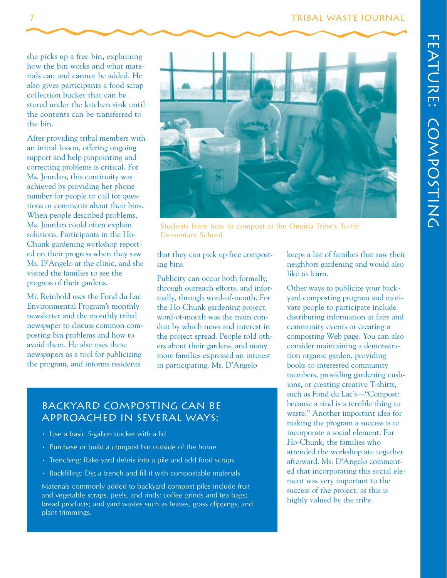#### 7 TRIBAL WASTE JOURNAL WASTE AND TRIBAL WASTE

she picks up a free bin, explaining how the bin works and what materials can and cannot be added. He also gives participants a food scrap collection bucket that can be stored under the kitchen sink until the contents can be transferred to the bin.

After providing tribal members with an initial lesson, offering ongoing support and help pinpointing and correcting problems is critical. For Ms. Jourdan, this continuity was achieved by providing her phone number for people to call for questions or comments about their bins. When people described problems, Ms. Jourdan could often explain solutions. Participants in the Ho-Chunk gardening workshop reported on their progress when they saw Ms. D'Angelo at the clinic, and she visited the families to see the progress of their gardens.

Mr. Reinbold uses the Fond du Lac Environmental Program's monthly newsletter and the monthly tribal newspaper to discuss common composting bin problems and how to avoid them. He also uses these newspapers as a tool for publicizing the program, and informs residents



Students learn how to compost at the Oneida Tribe's Turtle Elementary School.

that they can pick up free composting bins.

Publicity can occur both formally, through outreach efforts, and informally, through word-of-mouth. For the Ho-Chunk gardening project, word-of-mouth was the main conduit by which news and interest in the project spread. People told others about their gardens, and many more families expressed an interest in participating. Ms. D'Angelo

#### Backyard composting can be approached in several ways:

- Use a basic 5-gallon bucket with a lid
- Purchase or build a compost bin outside of the home
- Trenching: Rake yard debris into a pile and add food scraps
- Backfilling: Dig a trench and fill it with compostable materials

plant trimmings. Materials commonly added to backyard compost piles include fruit and vegetable scraps, peels, and rinds; coffee grinds and tea bags; bread products; and yard wastes such as leaves, grass clippings, and

keeps a list of families that saw their neighbors gardening and would also like to learn.

Other ways to publicize your backyard composting program and motivate people to participate include distributing information at fairs and community events or creating a composting Web page. You can also consider maintaining a demonstration organic garden, providing books to interested community members, providing gardening cushions, or creating creative T-shirts, such as Fond du Lac's—"Compost: because a rind is a terrible thing to waste." Another important idea for making the program a success is to incorporate a social element. For Ho-Chunk, the families who attended the workshop ate together afterward. Ms. D'Angelo commented that incorporating this social element was very important to the success of the project, as this is highly valued by the tribe.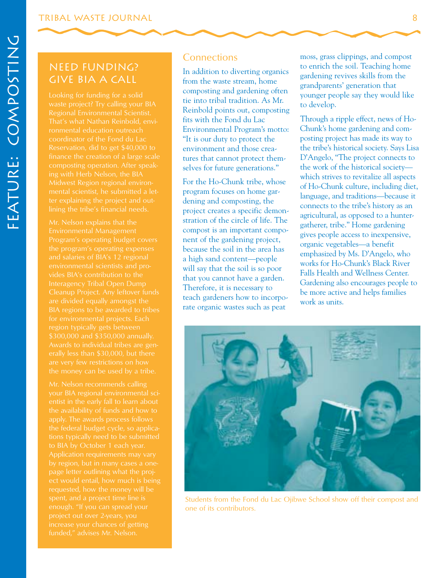#### Give BIA a Call Need Funding?

waste project? Try calling your BIA Regional Environmental Scientist. That's what Nathan Reinbold, environmental education outreach coordinator of the Fond du Lac Reservation, did to get \$40,000 to composting operation. After speak-

Mr. Nelson explains that the the program's operating expenses environmental scientists and pro-Interagency Tribal Open Dump for environmental projects. Each region typically gets between \$300,000 and \$350,000 annually. Awards to individual tribes are genare very few restrictions on how

the availability of funds and how to apply. The awards process follows the federal budget cycle, so applicaect would entail, how much is being requested, how the money will be enough. "If you can spread your increase your chances of getting funded," advises Mr. Nelson.

#### **Connections**

In addition to diverting organics from the waste stream, home composting and gardening often tie into tribal tradition. As Mr. Reinbold points out, composting fits with the Fond du Lac Environmental Program's motto: "It is our duty to protect the environment and those creatures that cannot protect themselves for future generations."

For the Ho-Chunk tribe, whose program focuses on home gardening and composting, the project creates a specific demonstration of the circle of life. The compost is an important component of the gardening project, because the soil in the area has a high sand content—people will say that the soil is so poor that you cannot have a garden. Therefore, it is necessary to teach gardeners how to incorporate organic wastes such as peat

moss, grass clippings, and compost to enrich the soil. Teaching home gardening revives skills from the grandparents' generation that younger people say they would like to develop.

Through a ripple effect, news of Ho-Chunk's home gardening and composting project has made its way to the tribe's historical society. Says Lisa D'Angelo, "The project connects to the work of the historical society which strives to revitalize all aspects of Ho-Chunk culture, including diet, language, and traditions—because it connects to the tribe's history as an agricultural, as opposed to a huntergatherer, tribe." Home gardening gives people access to inexpensive, organic vegetables—a benefit emphasized by Ms. D'Angelo, who works for Ho-Chunk's Black River Falls Health and Wellness Center. Gardening also encourages people to be more active and helps families work as units.



Students from the Fond du Lac Ojibwe School show off their compost and one of its contributors.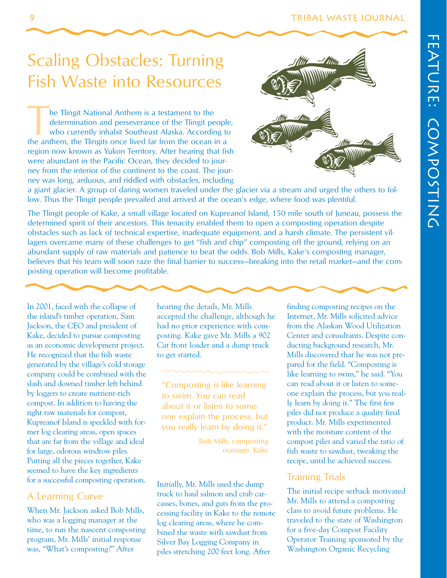# Scaling Obstacles: Turning Fish Waste into Resources

The Tlingit National Anthem is a testament to the determination and perseverance of the Tlingit people who currently inhabit Southeast Alaska. According to the anthem, the Tlingits once lived far from the ocean in a determination and perseverance of the Tlingit people, who currently inhabit Southeast Alaska. According to region now known as Yukon Territory. After hearing that fish were abundant in the Pacific Ocean, they decided to journey from the interior of the continent to the coast. The journey was long, arduous, and riddled with obstacles, including



a giant glacier. A group of daring women traveled under the glacier via a stream and urged the others to follow. Thus the Tlingit people prevailed and arrived at the ocean's edge, where food was plentiful.

The Tlingit people of Kake, a small village located on Kupreanof Island, 150 mile south of Juneau, possess the determined spirit of their ancestors. This tenacity enabled them to open a composting operation despite obstacles such as lack of technical expertise, inadequate equipment, and a harsh climate. The persistent villagers overcame many of these challenges to get "fish and chip" composting off the ground, relying on an abundant supply of raw materials and patience to beat the odds. Bob Mills, Kake's composting manager, believes that his team will soon raze the final barrier to success—breaking into the retail market—and the composting operation will become profitable.

In 2001, faced with the collapse of the island's timber operation, Sam Jackson, the CEO and president of Kake, decided to pursue composting as an economic development project. He recognized that the fish waste generated by the village's cold storage company could be combined with the slash and downed timber left behind by loggers to create nutrient-rich compost. In addition to having the right raw materials for compost, Kupreanof Island is speckled with former log clearing areas, open spaces that are far from the village and ideal for large, odorous windrow piles. Putting all the pieces together, Kake seemed to have the key ingredients for a successful composting operation.

#### A Learning Curve

When Mr. Jackson asked Bob Mills, who was a logging manager at the time, to run the nascent composting program, Mr. Mills' initial response was, "What's composting?" After

hearing the details, Mr. Mills accepted the challenge, although he had no prior experience with composting. Kake gave Mr. Mills a 902 Cat front loader and a dump truck to get started.

"Composting is like learning to swim. You can read about it or listen to someone explain the process, but you really learn by doing it."

> Bob Mills, composting manager, Kake

Initially, Mr. Mills used the dump truck to haul salmon and crab carcasses, bones, and guts from the processing facility in Kake to the remote log clearing areas, where he combined the waste with sawdust from Silver Bay Logging Company in piles stretching 200 feet long. After

finding composting recipes on the Internet, Mr. Mills solicited advice from the Alaskan Wood Utilization Center and consultants. Despite conducting background research, Mr. Mills discovered that he was not prepared for the field. "Composting is like learning to swim," he said. "You can read about it or listen to someone explain the process, but you really learn by doing it." The first few piles did not produce a quality final product. Mr. Mills experimented with the moisture content of the compost piles and varied the ratio of fish waste to sawdust, tweaking the recipe, until he achieved success.

#### Training Trials

The initial recipe setback motivated Mr. Mills to attend a composting class to avoid future problems. He traveled to the state of Washington for a five-day Compost Facility Operator Training sponsored by the Washington Organic Recycling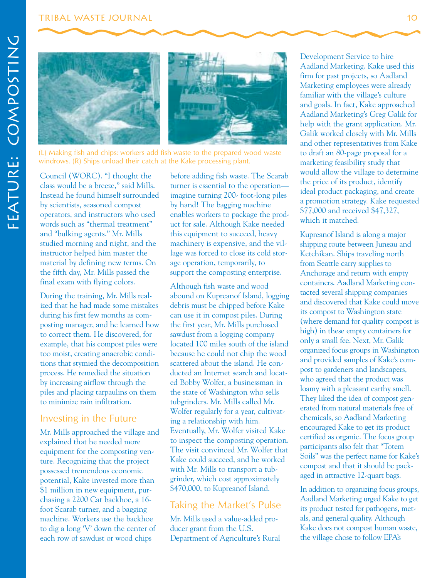#### Tribal Waste Journal



(L) Making fish and chips: workers add fish waste to the prepared wood waste windrows. (R) Ships unload their catch at the Kake processing plant.

Council (WORC). "I thought the class would be a breeze," said Mills. Instead he found himself surrounded by scientists, seasoned compost operators, and instructors who used words such as "thermal treatment" and "bulking agents." Mr. Mills studied morning and night, and the instructor helped him master the material by defining new terms. On the fifth day, Mr. Mills passed the final exam with flying colors.

During the training, Mr. Mills realized that he had made some mistakes during his first few months as composting manager, and he learned how to correct them. He discovered, for example, that his compost piles were too moist, creating anaerobic conditions that stymied the decomposition process. He remedied the situation by increasing airflow through the piles and placing tarpaulins on them to minimize rain infiltration.

#### Investing in the Future

Mr. Mills approached the village and explained that he needed more equipment for the composting venture. Recognizing that the project possessed tremendous economic potential, Kake invested more than \$1 million in new equipment, purchasing a 2200 Cat backhoe, a 16 foot Scarab turner, and a bagging machine. Workers use the backhoe to dig a long 'V' down the center of each row of sawdust or wood chips

before adding fish waste. The Scarab turner is essential to the operation imagine turning 200- foot-long piles by hand! The bagging machine enables workers to package the product for sale. Although Kake needed this equipment to succeed, heavy machinery is expensive, and the village was forced to close its cold storage operation, temporarily, to support the composting enterprise.

Although fish waste and wood abound on Kupreanof Island, logging debris must be chipped before Kake can use it in compost piles. During the first year, Mr. Mills purchased sawdust from a logging company located 100 miles south of the island because he could not chip the wood scattered about the island. He conducted an Internet search and located Bobby Wolfer, a businessman in the state of Washington who sells tubgrinders. Mr. Mills called Mr. Wolfer regularly for a year, cultivating a relationship with him. Eventually, Mr. Wolfer visited Kake to inspect the composting operation. The visit convinced Mr. Wolfer that Kake could succeed, and he worked with Mr. Mills to transport a tubgrinder, which cost approximately \$470,000, to Kupreanof Island.

#### Taking the Market's Pulse

Mr. Mills used a value-added producer grant from the U.S. Department of Agriculture's Rural

Development Service to hire Aadland Marketing. Kake used this firm for past projects, so Aadland Marketing employees were already familiar with the village's culture and goals. In fact, Kake approached Aadland Marketing's Greg Galik for help with the grant application. Mr. Galik worked closely with Mr. Mills and other representatives from Kake to draft an 80-page proposal for a marketing feasibility study that would allow the village to determine the price of its product, identify ideal product packaging, and create a promotion strategy. Kake requested \$77,000 and received \$47,327, which it matched.

Kupreanof Island is along a major shipping route between Juneau and Ketchikan. Ships traveling north from Seattle carry supplies to Anchorage and return with empty containers. Aadland Marketing contacted several shipping companies and discovered that Kake could move its compost to Washington state (where demand for quality compost is high) in these empty containers for only a small fee. Next, Mr. Galik organized focus groups in Washington and provided samples of Kake's compost to gardeners and landscapers, who agreed that the product was loamy with a pleasant earthy smell. They liked the idea of compost generated from natural materials free of chemicals, so Aadland Marketing encouraged Kake to get its product certified as organic. The focus group participants also felt that "Totem Soils" was the perfect name for Kake's compost and that it should be packaged in attractive 12-quart bags.

In addition to organizing focus groups, Aadland Marketing urged Kake to get its product tested for pathogens, metals, and general quality. Although Kake does not compost human waste, the village chose to follow EPA's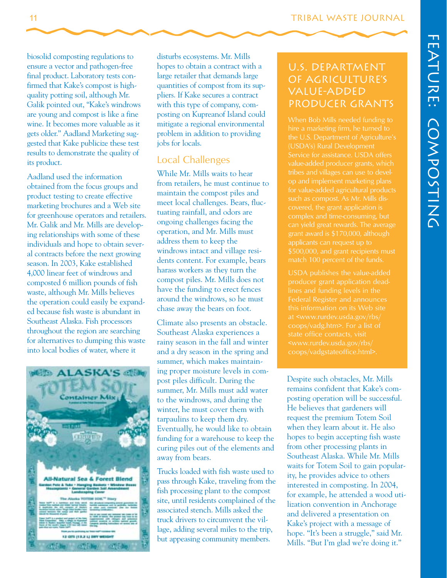biosolid composting regulations to ensure a vector and pathogen-free final product. Laboratory tests confirmed that Kake's compost is highquality potting soil, although Mr. Galik pointed out, "Kake's windrows are young and compost is like a fine wine. It becomes more valuable as it gets older." Aadland Marketing suggested that Kake publicize these test results to demonstrate the quality of its product.

Aadland used the information obtained from the focus groups and product testing to create effective marketing brochures and a Web site for greenhouse operators and retailers. Mr. Galik and Mr. Mills are developing relationships with some of these individuals and hope to obtain several contracts before the next growing season. In 2003, Kake established 4,000 linear feet of windrows and composted 6 million pounds of fish waste, although Mr. Mills believes the operation could easily be expanded because fish waste is abundant in Southeast Alaska. Fish processors throughout the region are searching for alternatives to dumping this waste into local bodies of water, where it



disturbs ecosystems. Mr. Mills hopes to obtain a contract with a large retailer that demands large quantities of compost from its suppliers. If Kake secures a contract with this type of company, composting on Kupreanof Island could mitigate a regional environmental problem in addition to providing jobs for locals.

#### Local Challenges

While Mr. Mills waits to hear from retailers, he must continue to maintain the compost piles and meet local challenges. Bears, fluctuating rainfall, and odors are ongoing challenges facing the operation, and Mr. Mills must address them to keep the windrows intact and village residents content. For example, bears harass workers as they turn the compost piles. Mr. Mills does not have the funding to erect fences around the windrows, so he must chase away the bears on foot.

ing proper moisture levels in com-Climate also presents an obstacle. Southeast Alaska experiences a rainy season in the fall and winter and a dry season in the spring and summer, which makes maintainpost piles difficult. During the summer, Mr. Mills must add water to the windrows, and during the winter, he must cover them with tarpaulins to keep them dry. Eventually, he would like to obtain funding for a warehouse to keep the curing piles out of the elements and away from bears.

Trucks loaded with fish waste used to pass through Kake, traveling from the fish processing plant to the compost site, until residents complained of the associated stench. Mills asked the truck drivers to circumvent the village, adding several miles to the trip, but appeasing community members.

#### U.S. Department of Agriculture's Value-Added Producer Grants

When Bob Mills needed funding to hire a marketing firm, he turned to the U.S. Department of Agriculture's (USDA's) Rural Development Service for assistance. USDA offers value-added producer grants, which tribes and villages can use to develop and implement marketing plans for value-added agricultural products such as compost. As Mr. Mills disgrant award is \$170,000, although applicants can request up to \$500,000, and grant recipients must match 100 percent of the funds.

USDA publishes the value-added producer grant application deadlines and funding levels in the at <www.rurdev.usda.gov/rbs/ coops/vadg.htm>. For a list of state office contacts, visit <www.rurdev.usda.gov/rbs/ coops/vadgstateoffice.html>.

Despite such obstacles, Mr. Mills remains confident that Kake's composting operation will be successful. He believes that gardeners will request the premium Totem Soil when they learn about it. He also hopes to begin accepting fish waste from other processing plants in Southeast Alaska. While Mr. Mills waits for Totem Soil to gain popularity, he provides advice to others interested in composting. In 2004, for example, he attended a wood utilization convention in Anchorage and delivered a presentation on Kake's project with a message of hope. "It's been a struggle," said Mr. Mills. "But I'm glad we're doing it."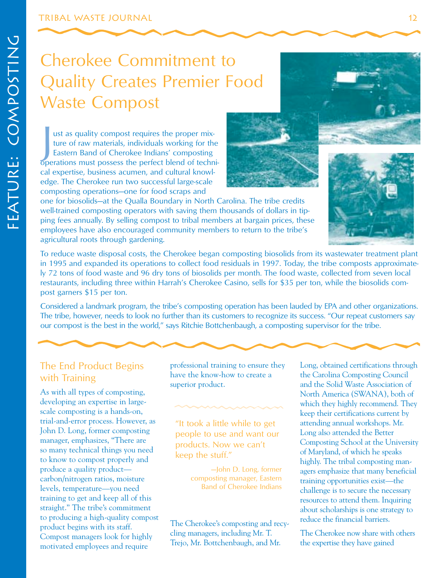# Cherokee Commitment to Quality Creates Premier Food Waste Compost

ust as quality compost requires the proper mix-<br>ture of raw materials, individuals working for the<br>Eastern Band of Cherokee Indians' composting<br>operations must possess the perfect blend of techniust as quality compost requires the proper mixture of raw materials, individuals working for the Eastern Band of Cherokee Indians' composting cal expertise, business acumen, and cultural knowledge. The Cherokee run two successful large-scale composting operations—one for food scraps and



one for biosolids—at the Qualla Boundary in North Carolina. The tribe credits well-trained composting operators with saving them thousands of dollars in tipping fees annually. By selling compost to tribal members at bargain prices, these employees have also encouraged community members to return to the tribe's agricultural roots through gardening.

To reduce waste disposal costs, the Cherokee began composting biosolids from its wastewater treatment plant in 1995 and expanded its operations to collect food residuals in 1997. Today, the tribe composts approximately 72 tons of food waste and 96 dry tons of biosolids per month. The food waste, collected from seven local restaurants, including three within Harrah's Cherokee Casino, sells for \$35 per ton, while the biosolids compost garners \$15 per ton.

Considered a landmark program, the tribe's composting operation has been lauded by EPA and other organizations. The tribe, however, needs to look no further than its customers to recognize its success. "Our repeat customers say our compost is the best in the world," says Ritchie Bottchenbaugh, a composting supervisor for the tribe.

As with all types of composting,<br>  $\frac{1}{2}$   $\frac{1}{2}$   $\frac{1}{2}$   $\frac{1}{2}$   $\frac{1}{2}$   $\frac{1}{2}$   $\frac{1}{2}$   $\frac{1}{2}$   $\frac{1}{2}$   $\frac{1}{2}$   $\frac{1}{2}$   $\frac{1}{2}$   $\frac{1}{2}$   $\frac{1}{2}$   $\frac{1}{2}$   $\frac{1}{2}$   $\frac{1}{2}$   $\frac{1}{2}$   $\frac{1}{2}$ developing an expertise in large-<br>scale composting is a hands-on,<br>highly recommend. They<br>keen their certifications current by trial-and-error process. However, as "It took a little while to get attending annual workshops. Mr.<br>John D. Long, former composting people to use and want our Long also attended the Better John D. Long, former composting people to use and want our manager, emphasizes, "There are and the Better at the Better at the Better and the Better at the Better at the Better at the Better at the Better at the Better at manager, emphasizes, "There are products. Now we can't composting School at the University<br>so many technical things you need so many technical things you need is the set of Maryland, of which he speaks<br>to know to compost properly and its experience of Maryland, of which he speaks to know to compost properly and the state of the state highly. The tribal composting man-<br>produce a quality product—<br>pohn D. Long, former agers emphasize that many heneficial produce a quality product— — — —John D. Long, former agers emphasize that many beneficial carbon/nitrogen ratios, moisture composting manager, Eastern ration opportunities exist—the carbon/nitrogen ratios, moisture composting manager, Eastern training opportunities exist—the<br>levels, temperature—you need Band of Cherokee Indians challenge is to secure the necessa training to get and keep all of this resources to attend them. Inquiring straight." The tribe's commitment about scholarships is one strategy to to producing a high-quality compost<br>product begins with its staff. The Cherokee's composting and recymotivated employees and require

with Training have the know-how to create a the Carolina Composting Council<br>superior product. and the Solid Waste Association of

product begins with its statified the cherokee now share with others Compost managers look for highly cling managers, including Mr. T. The Cherokee now share with others restincted and leave in Trejo, Mr. Bottchenbaugh, an

The End Product Begins professional training to ensure they Long, obtained certifications through have the know-how to create a the Carolina Connosting Council and the Solid Waste Association of keep their certifications current by challenge is to secure the necessary about scholarships is one strategy to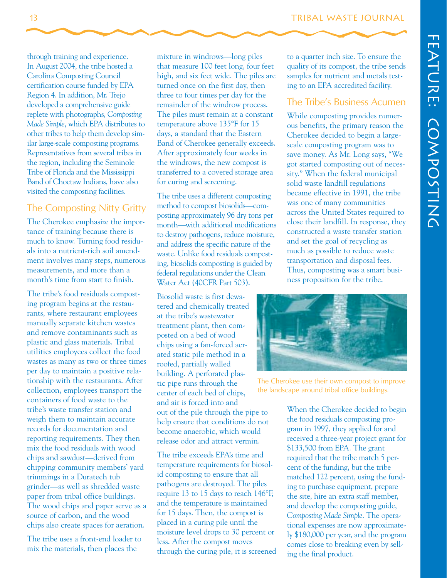through training and experience. In August 2004, the tribe hosted a Carolina Composting Council certification course funded by EPA Region 4. In addition, Mr. Trejo developed a comprehensive guide replete with photographs, *Composting Made Simple*, which EPA distributes to other tribes to help them develop similar large-scale composting programs. Representatives from several tribes in the region, including the Seminole Tribe of Florida and the Mississippi Band of Choctaw Indians, have also visited the composting facilities.

#### The Composting Nitty Gritty

The Cherokee emphasize the importance of training because there is much to know. Turning food residuals into a nutrient-rich soil amendment involves many steps, numerous measurements, and more than a month's time from start to finish.

The tribe's food residuals composting program begins at the restaurants, where restaurant employees manually separate kitchen wastes and remove contaminants such as plastic and glass materials. Tribal utilities employees collect the food wastes as many as two or three times per day to maintain a positive relationship with the restaurants. After collection, employees transport the containers of food waste to the tribe's waste transfer station and weigh them to maintain accurate records for documentation and reporting requirements. They then mix the food residuals with wood chips and sawdust—derived from chipping community members' yard trimmings in a Duratech tub grinder—as well as shredded waste paper from tribal office buildings. The wood chips and paper serve as a source of carbon, and the wood chips also create spaces for aeration.

The tribe uses a front-end loader to mix the materials, then places the

mixture in windrows—long piles that measure 100 feet long, four feet high, and six feet wide. The piles are turned once on the first day, then three to four times per day for the remainder of the windrow process. The piles must remain at a constant temperature above 135°F for 15 days, a standard that the Eastern Band of Cherokee generally exceeds. After approximately four weeks in the windrows, the new compost is transferred to a covered storage area for curing and screening.

The tribe uses a different composting method to compost biosolids—composting approximately 96 dry tons per month—with additional modifications to destroy pathogens, reduce moisture, and address the specific nature of the waste. Unlike food residuals composting, biosolids composting is guided by federal regulations under the Clean Water Act (40CFR Part 503).

center of each bed of chips, and air is forced into and out of the pile through the pipe to help ensure that conditions do not become anaerobic, which would release odor and attract vermin. Biosolid waste is first dewatered and chemically treated at the tribe's wastewater treatment plant, then composted on a bed of wood chips using a fan-forced aerated static pile method in a roofed, partially walled building. A perforated plastic pipe runs through the

The tribe exceeds EPA's time and temperature requirements for biosolid composting to ensure that all pathogens are destroyed. The piles require 13 to 15 days to reach 146°F, and the temperature is maintained for 15 days. Then, the compost is placed in a curing pile until the moisture level drops to 30 percent or less. After the compost moves through the curing pile, it is screened to a quarter inch size. To ensure the quality of its compost, the tribe sends samples for nutrient and metals testing to an EPA accredited facility.

#### The Tribe's Business Acumen

While composting provides numerous benefits, the primary reason the Cherokee decided to begin a largescale composting program was to save money. As Mr. Long says, "We got started composting out of necessity." When the federal municipal solid waste landfill regulations became effective in 1991, the tribe was one of many communities across the United States required to close their landfill. In response, they constructed a waste transfer station and set the goal of recycling as much as possible to reduce waste transportation and disposal fees. Thus, composting was a smart business proposition for the tribe.



The Cherokee use their own compost to improve the landscape around tribal office buildings.

When the Cherokee decided to begin the food residuals composting program in 1997, they applied for and received a three-year project grant for \$133,500 from EPA. The grant required that the tribe match 5 percent of the funding, but the tribe matched 122 percent, using the funding to purchase equipment, prepare the site, hire an extra staff member, and develop the composting guide, *Composting Made Simple*. The operational expenses are now approximately \$180,000 per year, and the program comes close to breaking even by selling the final product.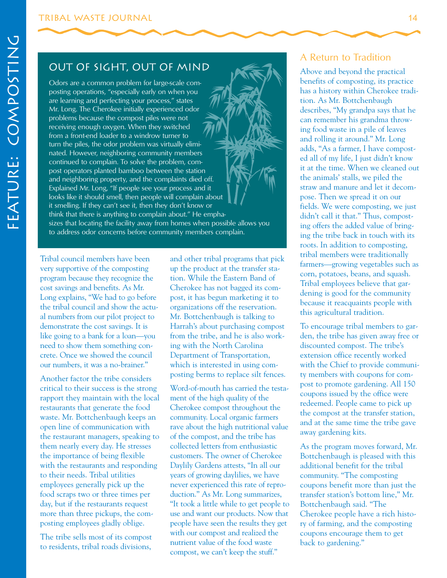#### Out of Sight, Out of Mind

Odors are a common problem for large-scale composting operations, "especially early on when you are learning and perfecting your process," states Mr. Long. The Cherokee initially experienced odor problems because the compost piles were not receiving enough oxygen. When they switched from a front-end loader to a windrow turner to turn the piles, the odor problem was virtually eliminated. However, neighboring community members continued to complain. To solve the problem, compost operators planted bamboo between the station and neighboring property, and the complaints died off. Explained Mr. Long, "If people see your process and it looks like it should smell, then people will complain about it smelling. If they can't see it, then they don't know or think that there is anything to complain about." He emphasizes that locating the facility away from homes when possible allows you to address odor concerns before community members complain.

Tribal council members have been very supportive of the composting program because they recognize the cost savings and benefits. As Mr. Long explains, "We had to go before the tribal council and show the actual numbers from our pilot project to demonstrate the cost savings. It is like going to a bank for a loan—you need to show them something concrete. Once we showed the council our numbers, it was a no-brainer."

Another factor the tribe considers critical to their success is the strong rapport they maintain with the local restaurants that generate the food waste. Mr. Bottchenbaugh keeps an open line of communication with the restaurant managers, speaking to them nearly every day. He stresses the importance of being flexible with the restaurants and responding to their needs. Tribal utilities employees generally pick up the food scraps two or three times per day, but if the restaurants request more than three pickups, the composting employees gladly oblige.

The tribe sells most of its compost to residents, tribal roads divisions,

and other tribal programs that pick up the product at the transfer station. While the Eastern Band of Cherokee has not bagged its compost, it has begun marketing it to organizations off the reservation. Mr. Bottchenbaugh is talking to Harrah's about purchasing compost from the tribe, and he is also working with the North Carolina Department of Transportation, which is interested in using composting berms to replace silt fences.

Word-of-mouth has carried the testament of the high quality of the Cherokee compost throughout the community. Local organic farmers rave about the high nutritional value of the compost, and the tribe has collected letters from enthusiastic customers. The owner of Cherokee Daylily Gardens attests, "In all our years of growing daylilies, we have never experienced this rate of reproduction." As Mr. Long summarizes, "It took a little while to get people to use and want our products. Now that people have seen the results they get with our compost and realized the nutrient value of the food waste compost, we can't keep the stuff."

#### A Return to Tradition

Above and beyond the practical benefits of composting, its practice has a history within Cherokee tradition. As Mr. Bottchenbaugh describes, "My grandpa says that he can remember his grandma throwing food waste in a pile of leaves and rolling it around." Mr. Long adds, "As a farmer, I have composted all of my life, I just didn't know it at the time. When we cleaned out the animals' stalls, we piled the straw and manure and let it decompose. Then we spread it on our fields. We were composting, we just didn't call it that." Thus, composting offers the added value of bringing the tribe back in touch with its roots. In addition to composting, tribal members were traditionally farmers—growing vegetables such as corn, potatoes, beans, and squash. Tribal employees believe that gardening is good for the community because it reacquaints people with this agricultural tradition.

To encourage tribal members to garden, the tribe has given away free or discounted compost. The tribe's extension office recently worked with the Chief to provide community members with coupons for compost to promote gardening. All 150 coupons issued by the office were redeemed. People came to pick up the compost at the transfer station, and at the same time the tribe gave away gardening kits.

As the program moves forward, Mr. Bottchenbaugh is pleased with this additional benefit for the tribal community. "The composting coupons benefit more than just the transfer station's bottom line," Mr. Bottchenbaugh said. "The Cherokee people have a rich history of farming, and the composting coupons encourage them to get back to gardening."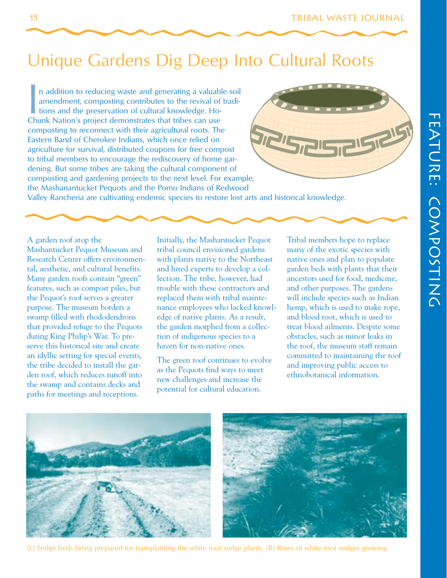# Unique Gardens Dig Deep Into Cultural Roots

In addition to reducing waste and generating a valuable amendment, composting contributes to the revival of tions and the preservation of cultural knowledge. Ho-<br>Chunk Nation's project demonstrates that tribes can use n addition to reducing waste and generating a valuable soil amendment, composting contributes to the revival of traditions and the preservation of cultural knowledge. Hocomposting to reconnect with their agricultural roots. The Eastern Band of Cherokee Indians, which once relied on agriculture for survival, distributed coupons for free compost to tribal members to encourage the rediscovery of home gardening. But some tribes are taking the cultural component of composting and gardening projects to the next level. For example, the Mashanantucket Pequots and the Pomo Indians of Redwood



Valley Rancheria are cultivating endemic species to restore lost arts and historical knowledge.

A garden roof atop the Mashantucket Pequot Museum and Research Center offers environmental, aesthetic, and cultural benefits. Many garden roofs contain "green" features, such as compost piles, but the Pequot's roof serves a greater purpose. The museum borders a swamp filled with rhododendrons that provided refuge to the Pequots during King Philip's War. To preserve this historical site and create an idyllic setting for special events, the tribe decided to install the garden roof, which reduces runoff into the swamp and contains decks and paths for meetings and receptions.

Initially, the Mashantucket Pequot tribal council envisioned gardens with plants native to the Northeast and hired experts to develop a collection. The tribe, however, had trouble with these contractors and replaced them with tribal maintenance employees who lacked knowledge of native plants. As a result, the garden morphed from a collection of indigenous species to a haven for non-native ones.

The green roof continues to evolve as the Pequots find ways to meet new challenges and increase the potential for cultural education.

Tribal members hope to replace many of the exotic species with native ones and plan to populate garden beds with plants that their ancestors used for food, medicine, and other purposes. The gardens will include species such as Indian hemp, which is used to make rope, and blood root, which is used to treat blood ailments. Despite some obstacles, such as minor leaks in the roof, the museum staff remain committed to maintaining the roof and improving public access to ethnobotanical information.



(L) Sedge beds being prepared for transplanting the white root sedge plants. (R) Rows of white root sedges growing.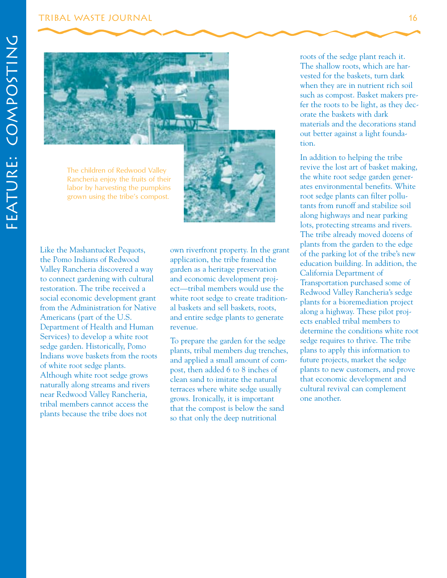#### Tribal Waste Journal 16



The children of Redwood Valley Rancheria enjoy the fruits of their labor by harvesting the pumpkins grown using the tribe's compost.



Like the Mashantucket Pequots, the Pomo Indians of Redwood Valley Rancheria discovered a way to connect gardening with cultural restoration. The tribe received a social economic development grant from the Administration for Native Americans (part of the U.S. Department of Health and Human Services) to develop a white root sedge garden. Historically, Pomo Indians wove baskets from the roots of white root sedge plants. Although white root sedge grows naturally along streams and rivers near Redwood Valley Rancheria, tribal members cannot access the plants because the tribe does not

own riverfront property. In the grant application, the tribe framed the garden as a heritage preservation and economic development project—tribal members would use the white root sedge to create traditional baskets and sell baskets, roots, and entire sedge plants to generate revenue.

To prepare the garden for the sedge plants, tribal members dug trenches, and applied a small amount of compost, then added 6 to 8 inches of clean sand to imitate the natural terraces where white sedge usually grows. Ironically, it is important that the compost is below the sand so that only the deep nutritional

roots of the sedge plant reach it. The shallow roots, which are harvested for the baskets, turn dark when they are in nutrient rich soil such as compost. Basket makers prefer the roots to be light, as they decorate the baskets with dark materials and the decorations stand out better against a light foundation.

In addition to helping the tribe revive the lost art of basket making, the white root sedge garden generates environmental benefits. White root sedge plants can filter pollutants from runoff and stabilize soil along highways and near parking lots, protecting streams and rivers. The tribe already moved dozens of plants from the garden to the edge of the parking lot of the tribe's new education building. In addition, the California Department of Transportation purchased some of Redwood Valley Rancheria's sedge plants for a bioremediation project along a highway. These pilot projects enabled tribal members to determine the conditions white root sedge requires to thrive. The tribe plans to apply this information to future projects, market the sedge plants to new customers, and prove that economic development and cultural revival can complement one another.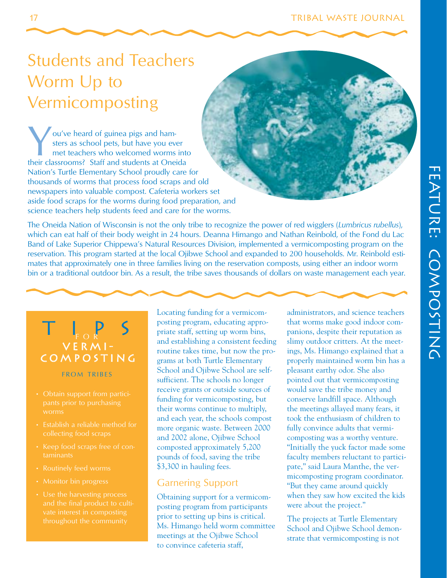# Students and Teachers Worm Up to Vermicomposting

You've heard of guinea pigs and ham-<br>sters as school pets, but have you even met teachers who welcomed worms<br>their classrooms? Staff and students at One sters as school pets, but have you ever met teachers who welcomed worms into their classrooms? Staff and students at Oneida Nation's Turtle Elementary School proudly care for thousands of worms that process food scraps and old newspapers into valuable compost. Cafeteria workers set aside food scraps for the worms during food preparation, and science teachers help students feed and care for the worms.

The Oneida Nation of Wisconsin is not the only tribe to recognize the power of red wigglers (*Lumbricus rubellus*), which can eat half of their body weight in 24 hours. Deanna Himango and Nathan Reinbold, of the Fond du Lac Band of Lake Superior Chippewa's Natural Resources Division, implemented a vermicomposting program on the reservation. This program started at the local Ojibwe School and expanded to 200 households. Mr. Reinbold estimates that approximately one in three families living on the reservation composts, using either an indoor worm bin or a traditional outdoor bin. As a result, the tribe saves thousands of dollars on waste management each year.



#### FROM TRIBES

- worms
- Establish a reliable method for
- taminants
- Routinely feed worms
- Monitor bin progress
- Use the harvesting process vate interest in composting

Locating funding for a vermicomposting program, educating appropriate staff, setting up worm bins, and establishing a consistent feeding routine takes time, but now the programs at both Turtle Elementary School and Ojibwe School are selfsufficient. The schools no longer receive grants or outside sources of funding for vermicomposting, but their worms continue to multiply, and each year, the schools compost more organic waste. Between 2000 and 2002 alone, Ojibwe School composted approximately 5,200 pounds of food, saving the tribe \$3,300 in hauling fees.

#### Garnering Support

Obtaining support for a vermicomposting program from participants prior to setting up bins is critical. Ms. Himango held worm committee meetings at the Ojibwe School to convince cafeteria staff,

administrators, and science teachers that worms make good indoor companions, despite their reputation as slimy outdoor critters. At the meetings, Ms. Himango explained that a properly maintained worm bin has a pleasant earthy odor. She also pointed out that vermicomposting would save the tribe money and conserve landfill space. Although the meetings allayed many fears, it took the enthusiasm of children to fully convince adults that vermicomposting was a worthy venture. "Initially the yuck factor made some faculty members reluctant to participate," said Laura Manthe, the vermicomposting program coordinator. "But they came around quickly when they saw how excited the kids were about the project."

The projects at Turtle Elementary School and Ojibwe School demonstrate that vermicomposting is not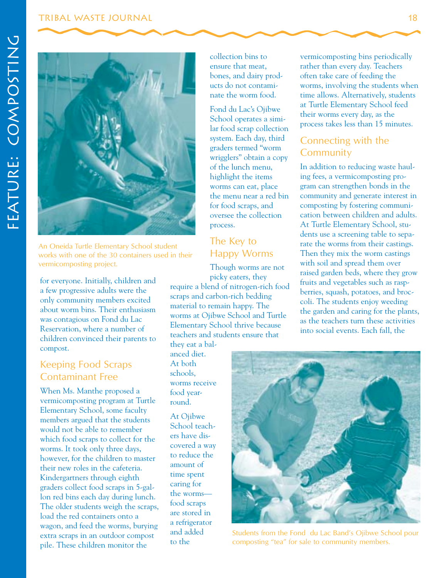#### Tribal Waste Journal 18



An Oneida Turtle Elementary School student works with one of the 30 containers used in their vermicomposting project.

for everyone. Initially, children and a few progressive adults were the only community members excited about worm bins. Their enthusiasm was contagious on Fond du Lac Reservation, where a number of children convinced their parents to compost.

#### Keeping Food Scraps Contaminant Free

When Ms. Manthe proposed a vermicomposting program at Turtle Elementary School, some faculty members argued that the students would not be able to remember which food scraps to collect for the worms. It took only three days, however, for the children to master their new roles in the cafeteria. Kindergartners through eighth graders collect food scraps in 5-gallon red bins each day during lunch. The older students weigh the scraps, load the red containers onto a wagon, and feed the worms, burying extra scraps in an outdoor compost pile. These children monitor the

collection bins to ensure that meat, bones, and dairy products do not contaminate the worm food.

Fond du Lac's Ojibwe School operates a similar food scrap collection system. Each day, third graders termed "worm wrigglers" obtain a copy of the lunch menu, highlight the items worms can eat, place the menu near a red bin for food scraps, and oversee the collection process.

#### The Key to Happy Worms

Though worms are not picky eaters, they

require a blend of nitrogen-rich food scraps and carbon-rich bedding material to remain happy. The worms at Ojibwe School and Turtle Elementary School thrive because teachers and students ensure that they eat a bal-

anced diet. At both schools, worms receive food yearround.

At Oiibwe School teachers have discovered a way to reduce the amount of time spent caring for the worms food scraps are stored in a refrigerator

vermicomposting bins periodically rather than every day. Teachers often take care of feeding the worms, involving the students when time allows. Alternatively, students at Turtle Elementary School feed their worms every day, as the process takes less than 15 minutes.

#### Connecting with the **Community**

In addition to reducing waste hauling fees, a vermicomposting program can strengthen bonds in the community and generate interest in composting by fostering communication between children and adults. At Turtle Elementary School, students use a screening table to separate the worms from their castings. Then they mix the worm castings with soil and spread them over raised garden beds, where they grow fruits and vegetables such as raspberries, squash, potatoes, and broccoli. The students enjoy weeding the garden and caring for the plants, as the teachers turn these activities into social events. Each fall, the



and added Students from the Fond du Lac Band's Ojibwe School pour<br>to the composting "tea" for sale to community members. composting "tea" for sale to community members.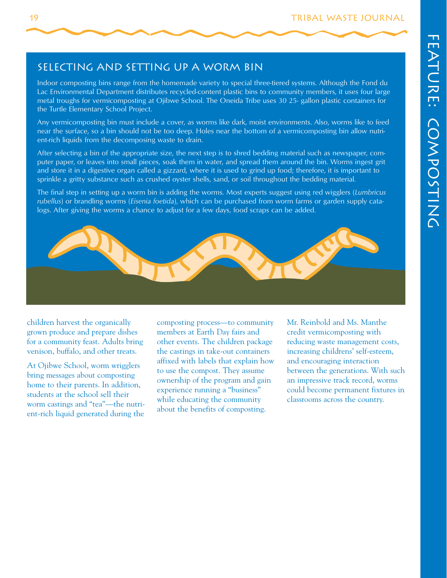#### Selecting and Setting Up a Worm Bin

Indoor composting bins range from the homemade variety to special three-tiered systems. Although the Fond du Lac Environmental Department distributes recycled-content plastic bins to community members, it uses four large metal troughs for vermicomposting at Ojibwe School. The Oneida Tribe uses 30 25- gallon plastic containers for the Turtle Elementary School Project.

Any vermicomposting bin must include a cover, as worms like dark, moist environments. Also, worms like to feed near the surface, so a bin should not be too deep. Holes near the bottom of a vermicomposting bin allow nutrient-rich liquids from the decomposing waste to drain.

After selecting a bin of the appropriate size, the next step is to shred bedding material such as newspaper, computer paper, or leaves into small pieces, soak them in water, and spread them around the bin. Worms ingest grit and store it in a digestive organ called a gizzard, where it is used to grind up food; therefore, it is important to sprinkle a gritty substance such as crushed oyster shells, sand, or soil throughout the bedding material.

The final step in setting up a worm bin is adding the worms. Most experts suggest using red wigglers (*Lumbricus rubellus*) or brandling worms (*Eisenia foetida*), which can be purchased from worm farms or garden supply catalogs. After giving the worms a chance to adjust for a few days, food scraps can be added.



children harvest the organically grown produce and prepare dishes for a community feast. Adults bring venison, buffalo, and other treats.

At Ojibwe School, worm wrigglers bring messages about composting home to their parents. In addition, students at the school sell their worm castings and "tea"—the nutrient-rich liquid generated during the

composting process—to community members at Earth Day fairs and other events. The children package the castings in take-out containers affixed with labels that explain how to use the compost. They assume ownership of the program and gain experience running a "business" while educating the community about the benefits of composting.

Mr. Reinbold and Ms. Manthe credit vermicomposting with reducing waste management costs, increasing childrens' self-esteem, and encouraging interaction between the generations. With such an impressive track record, worms could become permanent fixtures in classrooms across the country.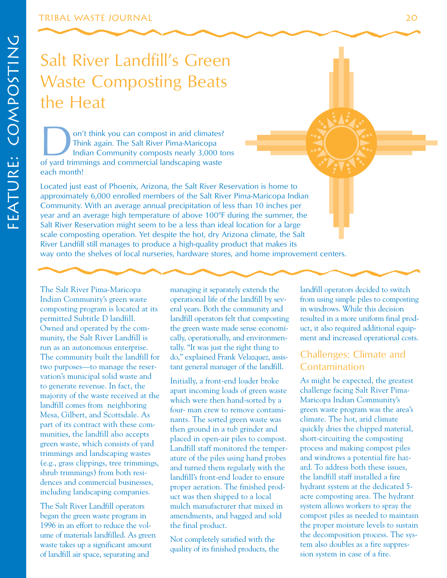# Salt River Landfill's Green Waste Composting Beats the Heat

on't think you can compost in arid climates?<br>
Think again. The Salt River Pima-Maricopa<br>
Indian Community composts nearly 3,000 to<br>
of yard trimmings and commercial landscaping waste Think again. The Salt River Pima-Maricopa Indian Community composts nearly 3,000 tons each month!

Located just east of Phoenix, Arizona, the Salt River Reservation is home to approximately 6,000 enrolled members of the Salt River Pima-Maricopa Indian Community. With an average annual precipitation of less than 10 inches per year and an average high temperature of above 100°F during the summer, the Salt River Reservation might seem to be a less than ideal location for a large scale composting operation. Yet despite the hot, dry Arizona climate, the Salt River Landfill still manages to produce a high-quality product that makes its way onto the shelves of local nurseries, hardware stores, and home improvement centers.

The Salt River Pima-Maricopa Indian Community's green waste composting program is located at its permitted Subtitle D landfill. Owned and operated by the community, the Salt River Landfill is run as an autonomous enterprise. The community built the landfill for two purposes—to manage the reservation's municipal solid waste and to generate revenue. In fact, the majority of the waste received at the landfill comes from neighboring Mesa, Gilbert, and Scottsdale. As part of its contract with these communities, the landfill also accepts green waste, which consists of yard trimmings and landscaping wastes (e.g., grass clippings, tree trimmings, shrub trimmings) from both residences and commercial businesses, including landscaping companies.

The Salt River Landfill operators began the green waste program in 1996 in an effort to reduce the volume of materials landfilled. As green waste takes up a significant amount of landfill air space, separating and

managing it separately extends the operational life of the landfill by several years. Both the community and landfill operators felt that composting the green waste made sense economically, operationally, and environmentally. "It was just the right thing to do," explained Frank Velazquez, assistant general manager of the landfill.

Initially, a front-end loader broke apart incoming loads of green waste which were then hand-sorted by a four- man crew to remove contaminants. The sorted green waste was then ground in a tub grinder and placed in open-air piles to compost. Landfill staff monitored the temperature of the piles using hand probes and turned them regularly with the landfill's front-end loader to ensure proper aeration. The finished product was then shipped to a local mulch manufacturer that mixed in amendments, and bagged and sold the final product.

Not completely satisfied with the quality of its finished products, the landfill operators decided to switch from using simple piles to composting in windrows. While this decision resulted in a more uniform final product, it also required additional equipment and increased operational costs.

#### Challenges: Climate and Contamination

As might be expected, the greatest challenge facing Salt River Pima-Maricopa Indian Community's green waste program was the area's climate. The hot, arid climate quickly dries the chipped material, short-circuiting the composting process and making compost piles and windrows a potential fire hazard. To address both these issues, the landfill staff installed a fire hydrant system at the dedicated 5 acre composting area. The hydrant system allows workers to spray the compost piles as needed to maintain the proper moisture levels to sustain the decomposition process. The system also doubles as a fire suppression system in case of a fire.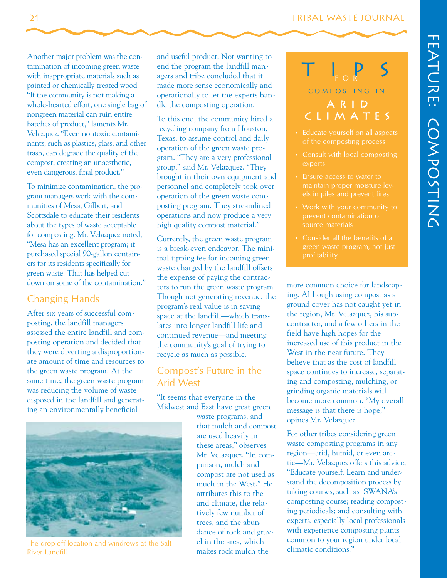#### 21 TRIBAL WASTE JOURNAL

Another major problem was the contamination of incoming green waste with inappropriate materials such as painted or chemically treated wood. "If the community is not making a whole-hearted effort, one single bag of nongreen material can ruin entire batches of product," laments Mr. Velazquez. "Even nontoxic contaminants, such as plastics, glass, and other trash, can degrade the quality of the compost, creating an unaesthetic, even dangerous, final product."

To minimize contamination, the program managers work with the communities of Mesa, Gilbert, and Scottsdale to educate their residents about the types of waste acceptable for composting. Mr. Velazquez noted, "Mesa has an excellent program; it purchased special 90-gallon containers for its residents specifically for green waste. That has helped cut down on some of the contamination."

#### Changing Hands

After six years of successful composting, the landfill managers assessed the entire landfill and composting operation and decided that they were diverting a disproportionate amount of time and resources to the green waste program. At the same time, the green waste program was reducing the volume of waste disposed in the landfill and generating an environmentally beneficial



To this end, the community hired a recycling company from Houston, Texas, to assume control and daily operation of the green waste program. "They are a very professional group," said Mr. Velazquez. "They brought in their own equipment and personnel and completely took over operation of the green waste composting program. They streamlined operations and now produce a very high quality compost material."

Currently, the green waste program is a break-even endeavor. The minimal tipping fee for incoming green waste charged by the landfill offsets the expense of paying the contractors to run the green waste program. Though not generating revenue, the program's real value is in saving space at the landfill—which translates into longer landfill life and continued revenue—and meeting the community's goal of trying to recycle as much as possible.

#### Compost's Future in the Arid West

"It seems that everyone in the Midwest and East have great green



The drop-off location and windrows at the Salt el in the area, which River Landfill **River Landfill** makes rock mulch the

waste programs, and that mulch and compost are used heavily in these areas," observes Mr. Velazquez. "In comparison, mulch and compost are not used as much in the West." He attributes this to the arid climate, the relatively few number of trees, and the abundance of rock and grav-

### tips a r i d c l i m a t e s FOR COMPOSTING IN

- of the composting process
- Consult with local composting experts
- maintain proper moisture lev-
- source materials
- 

more common choice for landscaping. Although using compost as a ground cover has not caught yet in the region, Mr. Velazquez, his subcontractor, and a few others in the field have high hopes for the increased use of this product in the West in the near future. They believe that as the cost of landfill space continues to increase, separating and composting, mulching, or grinding organic materials will become more common. "My overall message is that there is hope," opines Mr. Velazquez.

For other tribes considering green waste composting programs in any region—arid, humid, or even arctic—Mr. Velazquez offers this advice, "Educate yourself. Learn and understand the decomposition process by taking courses, such as SWANA's composting course; reading composting periodicals; and consulting with experts, especially local professionals with experience composting plants common to your region under local climatic conditions."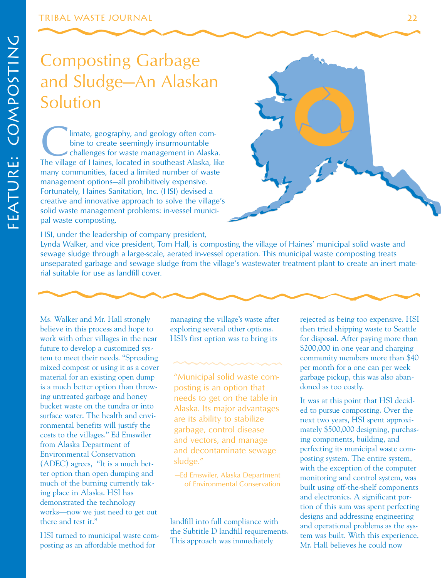#### Tribal Waste Journal 22

# Composting Garbage and Sludge—An Alaskan Solution

**Climate, geography, and geology often com-**<br>bine to create seemingly insurmountable<br>challenges for waste management in Alaska.<br>The village of Haines, located in southeast Alaska, like bine to create seemingly insurmountable challenges for waste management in Alaska. many communities, faced a limited number of waste management options—all prohibitively expensive. Fortunately, Haines Sanitation, Inc. (HSI) devised a creative and innovative approach to solve the village's solid waste management problems: in-vessel municipal waste composting.



Lynda Walker, and vice president, Tom Hall, is composting the village of Haines' municipal solid waste and sewage sludge through a large-scale, aerated in-vessel operation. This municipal waste composting treats unseparated garbage and sewage sludge from the village's wastewater treatment plant to create an inert material suitable for use as landfill cover.

Ms. Walker and Mr. Hall strongly believe in this process and hope to work with other villages in the near future to develop a customized system to meet their needs. "Spreading mixed compost or using it as a cover material for an existing open dump is a much better option than throwing untreated garbage and honey bucket waste on the tundra or into surface water. The health and environmental benefits will justify the costs to the villages." Ed Emswiler from Alaska Department of Environmental Conservation (ADEC) agrees, "It is a much better option than open dumping and much of the burning currently taking place in Alaska. HSI has demonstrated the technology works—now we just need to get out there and test it."

HSI turned to municipal waste composting as an affordable method for

managing the village's waste after exploring several other options. HSI's first option was to bring its

"Municipal solid waste composting is an option that needs to get on the table in Alaska. Its major advantages are its ability to stabilize garbage, control disease and vectors, and manage and decontaminate sewage sludge."

—Ed Emswiler, Alaska Department of Environmental Conservation

landfill into full compliance with the Subtitle D landfill requirements. This approach was immediately

rejected as being too expensive. HSI then tried shipping waste to Seattle for disposal. After paying more than \$200,000 in one year and charging community members more than \$40 per month for a one can per week garbage pickup, this was also abandoned as too costly.

It was at this point that HSI decided to pursue composting. Over the next two years, HSI spent approximately \$500,000 designing, purchasing components, building, and perfecting its municipal waste composting system. The entire system, with the exception of the computer monitoring and control system, was built using off-the-shelf components and electronics. A significant portion of this sum was spent perfecting designs and addressing engineering and operational problems as the system was built. With this experience, Mr. Hall believes he could now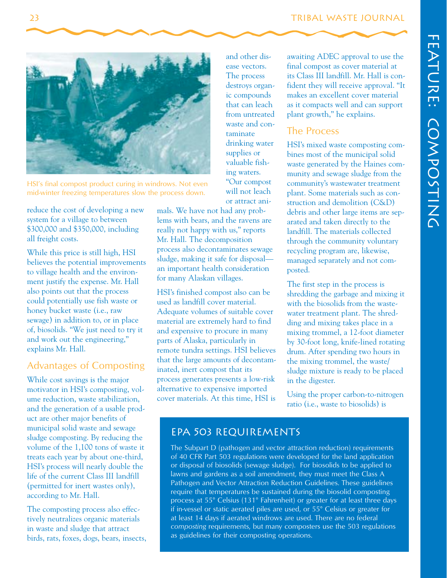

HSI's final compost product curing in windrows. Not even mid-winter freezing temperatures slow the process down.

reduce the cost of developing a new system for a village to between \$300,000 and \$350,000, including all freight costs.

While this price is still high, HSI believes the potential improvements to village health and the environment justify the expense. Mr. Hall also points out that the process could potentially use fish waste or honey bucket waste (i.e., raw sewage) in addition to, or in place of, biosolids. "We just need to try it and work out the engineering," explains Mr. Hall.

#### Advantages of Composting

While cost savings is the major motivator in HSI's composting, volume reduction, waste stabilization, and the generation of a usable product are other major benefits of municipal solid waste and sewage sludge composting. By reducing the volume of the 1,100 tons of waste it treats each year by about one-third, HSI's process will nearly double the life of the current Class III landfill (permitted for inert wastes only), according to Mr. Hall.

The composting process also effectively neutralizes organic materials in waste and sludge that attract birds, rats, foxes, dogs, bears, insects, mals. We have not had any problems with bears, and the ravens are really not happy with us," reports Mr. Hall. The decomposition process also decontaminates sewage sludge, making it safe for disposal an important health consideration for many Alaskan villages.

and other disease vectors. The process destroys organic compounds that can leach from untreated waste and contaminate drinking water supplies or valuable fishing waters. "Our compost will not leach

or attract ani-

HSI's finished compost also can be used as landfill cover material. Adequate volumes of suitable cover material are extremely hard to find and expensive to procure in many parts of Alaska, particularly in remote tundra settings. HSI believes that the large amounts of decontaminated, inert compost that its process generates presents a low-risk alternative to expensive imported cover materials. At this time, HSI is

awaiting ADEC approval to use the final compost as cover material at its Class III landfill. Mr. Hall is confident they will receive approval. "It makes an excellent cover material as it compacts well and can support plant growth," he explains.

#### The Process

HSI's mixed waste composting combines most of the municipal solid waste generated by the Haines community and sewage sludge from the community's wastewater treatment plant. Some materials such as construction and demolition (C&D) debris and other large items are separated and taken directly to the landfill. The materials collected through the community voluntary recycling program are, likewise, managed separately and not composted.

The first step in the process is shredding the garbage and mixing it with the biosolids from the wastewater treatment plant. The shredding and mixing takes place in a mixing trommel, a 12-foot diameter by 30-foot long, knife-lined rotating drum. After spending two hours in the mixing trommel, the waste/ sludge mixture is ready to be placed in the digester.

Using the proper carbon-to-nitrogen ratio (i.e., waste to biosolids) is

#### EPA 503 Requirements

The Subpart D (pathogen and vector attraction reduction) requirements of 40 CFR Part 503 regulations were developed for the land application or disposal of biosolids (sewage sludge). For biosolids to be applied to lawns and gardens as a soil amendment, they must meet the Class A Pathogen and Vector Attraction Reduction Guidelines. These guidelines require that temperatures be sustained during the biosolid composting process at 55° Celsius (131° Fahrenheit) or greater for at least three days if in-vessel or static aerated piles are used, or 55° Celsius or greater for at least 14 days if aerated windrows are used. There are no federal *composting* requirements, but many composters use the 503 regulations as guidelines for their composting operations.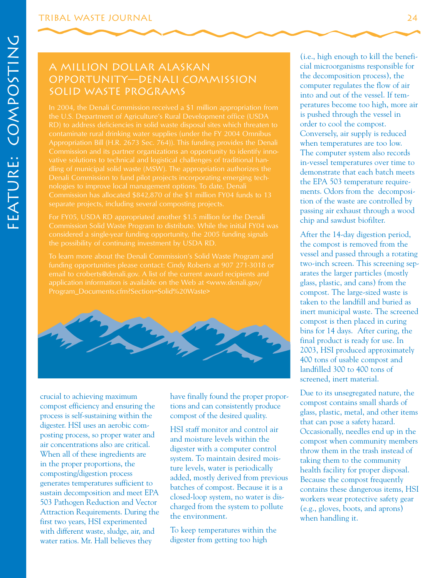#### A Million Dollar Alaskan Opportunity—Denali Commission Solid Waste Programs

the U.S. Department of Agriculture's Rural Development office (USDA In 2004, the Denali Commission received a \$1 million appropriation from RD) to address deficiencies in solid waste disposal sites which threaten to contaminate rural drinking water supplies (under the FY 2004 Omnibus vative solutions to technical and logistical challenges of traditional handling of municipal solid waste (MSW). The appropriation authorizes the Denali Commission to fund pilot projects incorporating emerging technologies to improve local management options. To date, Denali Commission has allocated \$842,870 of the \$1 million FY04 funds to 13 separate projects, including several composting projects.

Commission Solid Waste Program to distribute. While the initial FY04 was considered a single-year funding opportunity, the 2005 funding signals

To learn more about the Denali Commission's Solid Waste Program and email to croberts@denali.gov. A list of the current award recipients and application information is available on the Web at <www.denali.gov/



compost efficiency and ensuring the tions and can consistently produce compost contains small shards of the compost of the decised quality glass, plastic, metal, and other items process is self-sustaining within the compost of the desired quality. glass, plastic, metal, and other director  $\frac{1}{1}$  that can pose a safety hazard. digester. HSI uses an aerobic com-<br>HSI staff monitor and control air metric and HSI staff monitor and control air Cocasionally, needles end up in the posting process, so proper water and and moisture levels within the compost when community members air concentrations also are critical.<br>When all of these ingredients are digester with a computer control throw them in the trash instead of system. To maintain desired mois-<br>that the community is also are throw them in the in the proper proportions, the composting/digestion process ture levels, water is periodically health facility for proper disposal.<br>
secause the compost frequently generates temperatures sufficient to added, mostly derived from previous Because the compost frequently<br>contains these dangerous items, HSI sustain decomposition and meet EPA batches of composit. Because it is a contains these dangerous items, HS<br>EQ2 B d =  $R_{\text{D}}$ Sustain decomposition and meet ETA<br>
503 Pathogen Reduction and Vector<br>
Attraction Requirements. During the environment.<br>
Conservation Requirements. During the environment.<br>
Conservation Requirements. During the environment Attraction Requirements. During the the environment.<br>first two years, HSI experimented with different waste, sludge, air, and water ratios. Mr. Hall believes they digester from getting too high

system. To maintain desired mois-<br>ture levels, water is periodically

To keep temperatures within the

(i.e., high enough to kill the beneficial microorganisms responsible for the decomposition process), the computer regulates the flow of air into and out of the vessel. If temperatures become too high, more air is pushed through the vessel in order to cool the compost. Conversely, air supply is reduced when temperatures are too low. The computer system also records in-vessel temperatures over time to demonstrate that each batch meets the EPA 503 temperature requirements. Odors from the decomposition of the waste are controlled by passing air exhaust through a wood chip and sawdust biofilter.

After the 14-day digestion period, the compost is removed from the vessel and passed through a rotating two-inch screen. This screening separates the larger particles (mostly glass, plastic, and cans) from the compost. The large-sized waste is taken to the landfill and buried as inert municipal waste. The screened compost is then placed in curing bins for 14 days. After curing, the final product is ready for use. In 2003, HSI produced approximately 400 tons of usable compost and landfilled 300 to 400 tons of screened, inert material.

crucial to achieving maximum<br>
have finally found the proper propor-<br>
Due to its unsegregated nature, the<br>
compost contains small shards of when handling it.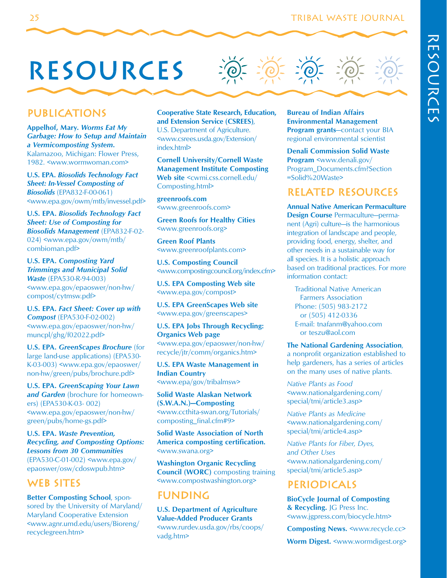# resources

#### **PUBLICATIONS**

**Appelhof, Mary.** *Worms Eat My Garbage: How to Setup and Maintain a Vermicomposting System***.**  Kalamazoo, Michigan: Flower Press, 1982. <www.wormwoman.com>

**U.S. EPA.** *Biosolids Technology Fact Sheet: In-Vessel Composting of Biosolids* (EPA832-F-00-061) <www.epa.gov/owm/mtb/invessel.pdf>

**U.S. EPA.** *Biosolids Technology Fact Sheet: Use of Composting for Biosolids Management* (EPA832-F-02- 024) <www.epa.gov/owm/mtb/ combioman.pdf>

**U.S. EPA.** *Composting Yard Trimmings and Municipal Solid Waste* (EPA530-R-94-003) <www.epa.gov/epaoswer/non-hw/ compost/cytmsw.pdf>

**U.S. EPA.** *Fact Sheet: Cover up with Compost* (EPA530-F-02-002) <www.epa.gov/epaoswer/non-hw/ muncpl/ghg/f02022.pdf>

**U.S. EPA.** *GreenScapes Brochure* (for large land-use applications) (EPA530- K-03-003) <www.epa.gov/epaoswer/ non-hw/green/pubs/brochure.pdf>

**U.S. EPA.** *GreenScaping Your Lawn*  and Garden (brochure for homeowners) (EPA530-K-03- 002) <www.epa.gov/epaoswer/non-hw/ green/pubs/home-gs.pdf>

**U.S. EPA.** *Waste Prevention, Recycling, and Composting Options: Lessons from 30 Communities*  (EPA530-C-01-002) <www.epa.gov/ epaoswer/osw/cdoswpub.htm>

#### WEB SITES

**Better Composting School**, sponsored by the University of Maryland/ Maryland Cooperative Extension <www.agnr.umd.edu/users/Bioreng/ recyclegreen.htm>

**Cooperative State Research, Education, and Extension Service (CSREES)**, U.S. Department of Agriculture. <www.csrees.usda.gov/Extension/ index.html>

**Cornell University/Cornell Waste Management Institute Composting**  Web site <cwmi.css.cornell.edu/ Composting.html>

**greenroofs.com**  <www.greenroofs.com>

**Green Roofs for Healthy Cities**  <www.greenroofs.org>

**Green Roof Plants**  <www.greenroofplants.com>

**U.S. Composting Council** <www.compostingcouncil.org/index.cfm>

**U.S. EPA Composting Web site**  <www.epa.gov/compost>

**U.S. EPA GreenScapes Web site**  <www.epa.gov/greenscapes>

**U.S. EPA Jobs Through Recycling: Organics Web page**  <www.epa.gov/epaoswer/non-hw/ recycle/jtr/comm/organics.htm>

**U.S. EPA Waste Management in Indian Country**  <www.epa/gov/tribalmsw>

**Solid Waste Alaskan Network (S.W.A.N.)—Composting**  <www.ccthita-swan.org/Tutorials/ composting\_final.cfm#9>

**Solid Waste Association of North America composting certification.**  <www.swana.org>

**Washington Organic Recycling Council (WORC)** composting training <www.compostwashington.org>

#### **FUNDING**

**U.S. Department of Agriculture Value-Added Producer Grants**  <www.rurdev.usda.gov/rbs/coops/ vadg.htm>

**Bureau of Indian Affairs Environmental Management Program grants**—contact your BIA regional environmental scientist

**Denali Commission Solid Waste Program** <www.denali.gov/ Program\_Documents.cfm?Section =Solid%20Waste>

#### Related Resources

**Annual Native American Permaculture Design Course** Permaculture—permanent (Agri) culture—is the harmonious integration of landscape and people, providing food, energy, shelter, and other needs in a sustainable way for all species. It is a holistic approach based on traditional practices. For more information contact:

Traditional Native American Farmers Association Phone: (505) 983-2172 or (505) 412-0336 E-mail: tnafanm@yahoo.com or teszu@aol.com

#### **The National Gardening Association**,

a nonprofit organization established to help gardeners, has a series of articles on the many uses of native plants.

*Native Plants as Food*  <www.nationalgardening.com/ special/tmi/article3.asp>

*Native Plants as Medicine*  <www.nationalgardening.com/ special/tmi/article4.asp>

*Native Plants for Fiber, Dyes, and Other Uses*  <www.nationalgardening.com/ special/tmi/article5.asp>

#### **PERIODICALS**

**BioCycle Journal of Composting & Recycling.** JG Press Inc. <www.jgpress.com/biocycle.htm>

**Composting News.** <www.recycle.cc> **Worm Digest.** <www.wormdigest.org>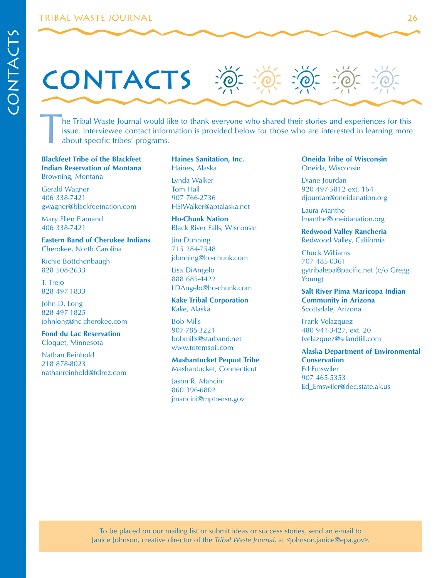# **CONTACTS**

The Tribal Waste Journal would like to thank everyone who shared their stories and experiences for this issue. Interviewee contact information is provided below for those who are interested in learning more about specific issue. Interviewee contact information is provided below for those who are interested in learning more about specific tribes' programs.

#### **Blackfeet Tribe of the Blackfeet Indian Reservation of Montana**  Browning, Montana

Gerald Wagner 406 338-7421 gwagner@blackfeetnation.com

Mary Ellen Flamand 406 338-7421

#### **Eastern Band of Cherokee Indians**  Cherokee, North Carolina

Richie Bottchenbaugh 828 508-2633

T. Trejo 828 497-1833

John D. Long 828 497-1825 johnlong@nc-cherokee.com

**Fond du Lac Reservation**  Cloquet, Minnesota

Nathan Reinbold 218 878-8023 nathanreinbold@fdlrez.com **Haines Sanitation, Inc.**  Haines, Alaska

Lynda Walker Tom Hall 907 766-2736 HSIWalker@aptalaska.net

**Ho-Chunk Nation**  Black River Falls, Wisconsin

Jim Dunning 715 284-7548 jdunning@ho-chunk.com

Lisa DiAngelo 888 685-4422 LDAngelo@ho-chunk.com

**Kake Tribal Corporation**  Kake, Alaska

Bob Mills 907-785-3221 bobmills@starband.net www.totemsoil.com

**Mashantucket Pequot Tribe**  Mashantucket, Connecticut

Jason R. Mancini 860 396-6802 jmancini@mptn-nsn.gov **Oneida Tribe of Wisconsin**  Oneida, Wisconsin

Diane Jourdan 920 497-5812 ext. 164 djourdan@oneidanation.org

Laura Manthe lmanthe@oneidanation.org

**Redwood Valley Rancheria**  Redwood Valley, California

Chuck Williams 707 485-0361 gytribalepa@pacific.net (c/o Gregg Young)

**Salt River Pima Maricopa Indian Community in Arizona**  Scottsdale, Arizona

Frank Velazquez 480 941-3427, ext. 20 fvelazquez@srlandfill.com

**Alaska Department of Environmental Conservation**  Ed Emswiler 907 465-5353 Ed\_Emswiler@dec.state.ak.us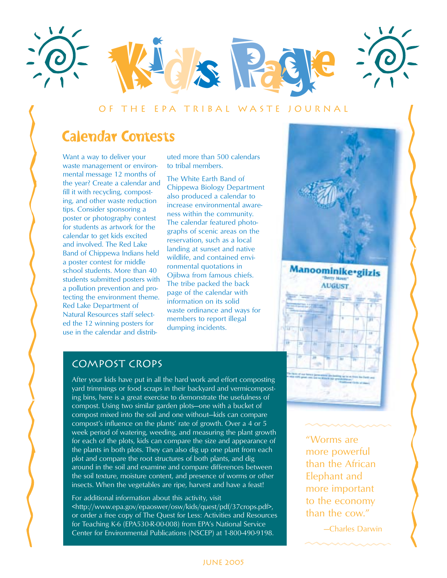

#### Of the EPA Tribal Waste Journal

## Calendar Contests

tips. Consider sponsoring a Want a way to deliver your waste management or environmental message 12 months of the year? Create a calendar and fill it with recycling, composting, and other waste reduction poster or photography contest for students as artwork for the calendar to get kids excited and involved. The Red Lake Band of Chippewa Indians held a poster contest for middle school students. More than 40 students submitted posters with a pollution prevention and protecting the environment theme. Red Lake Department of Natural Resources staff selected the 12 winning posters for use in the calendar and distributed more than 500 calendars to tribal members.

dumping incidents. The White Earth Band of Chippewa Biology Department also produced a calendar to increase environmental awareness within the community. The calendar featured photographs of scenic areas on the reservation, such as a local landing at sunset and native wildlife, and contained environmental quotations in Ojibwa from famous chiefs. The tribe packed the back page of the calendar with information on its solid waste ordinance and ways for members to report illegal



#### Compost Crops

After your kids have put in all the hard work and effort composting yard trimmings or food scraps in their backyard and vermicomposting bins, here is a great exercise to demonstrate the usefulness of compost. Using two similar garden plots—one with a bucket of compost mixed into the soil and one without—kids can compare compost's influence on the plants' rate of growth. Over a 4 or 5 week period of watering, weeding, and measuring the plant growth for each of the plots, kids can compare the size and appearance of the plants in both plots. They can also dig up one plant from each plot and compare the root structures of both plants, and dig around in the soil and examine and compare differences between the soil texture, moisture content, and presence of worms or other insects. When the vegetables are ripe, harvest and have a feast!

For additional information about this activity, visit <http://www.epa.gov/epaoswer/osw/kids/quest/pdf/37crops.pdf>, or order a free copy of The Quest for Less: Activities and Resources for Teaching K-6 (EPA530-R-00-008) from EPA's National Service Center for Environmental Publications (NSCEP) at 1-800-490-9198.

Elephant and "Worms are more powerful than the African more important to the economy than the cow."

—Charles Darwin